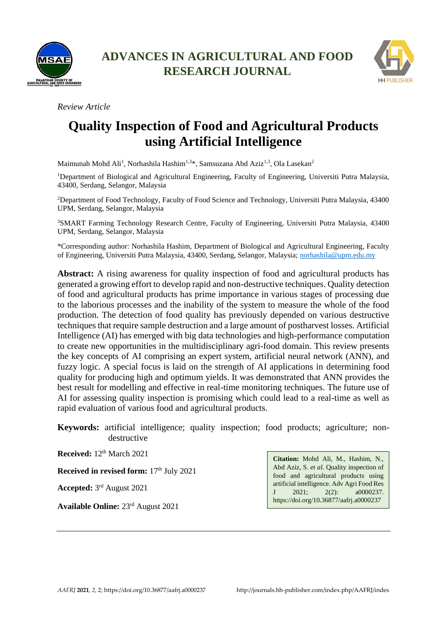



*Review Article*

# **Quality Inspection of Food and Agricultural Products using Artificial Intelligence**

Maimunah Mohd Ali<sup>1</sup>, Norhashila Hashim<sup>1,3\*</sup>, Samsuzana Abd Aziz<sup>1,3</sup>, Ola Lasekan<sup>2</sup>

<sup>1</sup>Department of Biological and Agricultural Engineering, Faculty of Engineering, Universiti Putra Malaysia, 43400, Serdang, Selangor, Malaysia

<sup>2</sup>Department of Food Technology, Faculty of Food Science and Technology, Universiti Putra Malaysia, 43400 UPM, Serdang, Selangor, Malaysia

<sup>3</sup>SMART Farming Technology Research Centre, Faculty of Engineering, Universiti Putra Malaysia, 43400 UPM, Serdang, Selangor, Malaysia

\*Corresponding author: Norhashila Hashim, Department of Biological and Agricultural Engineering, Faculty of Engineering, Universiti Putra Malaysia, 43400, Serdang, Selangor, Malaysia; [norhashila@upm.edu.my](mailto:norhashila@upm.edu.my)

**Abstract:** A rising awareness for quality inspection of food and agricultural products has generated a growing effort to develop rapid and non-destructive techniques. Quality detection of food and agricultural products has prime importance in various stages of processing due to the laborious processes and the inability of the system to measure the whole of the food production. The detection of food quality has previously depended on various destructive techniques that require sample destruction and a large amount of postharvest losses. Artificial Intelligence (AI) has emerged with big data technologies and high-performance computation to create new opportunities in the multidisciplinary agri-food domain. This review presents the key concepts of AI comprising an expert system, artificial neural network (ANN), and fuzzy logic. A special focus is laid on the strength of AI applications in determining food quality for producing high and optimum yields. It was demonstrated that ANN provides the best result for modelling and effective in real-time monitoring techniques. The future use of AI for assessing quality inspection is promising which could lead to a real-time as well as rapid evaluation of various food and agricultural products.

**Keywords:** artificial intelligence; quality inspection; food products; agriculture; nondestructive

**Received:** 12<sup>th</sup> March 2021

**Received in revised form:** 17<sup>th</sup> July 2021

**Accepted:** 3 rd August 2021

**Available Online:** 23rd August 2021

**Citation:** Mohd Ali, M., Hashim, N., Abd Aziz, S. *et al*. Quality inspection of food and agricultural products using artificial intelligence. Adv Agri Food Res J 2021; 2(2): a0000237. https://doi.org/10.36877/aafrj.a0000237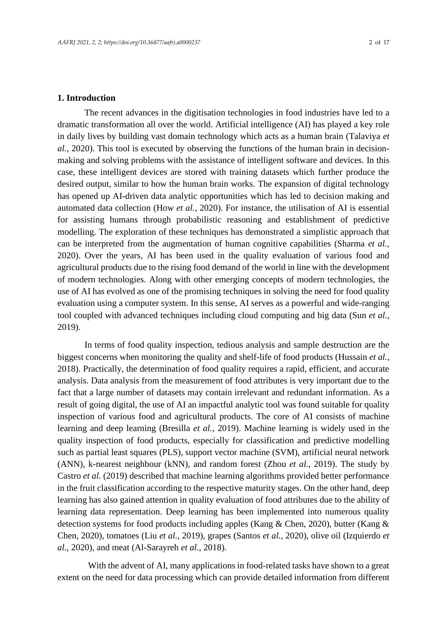### **1. Introduction**

The recent advances in the digitisation technologies in food industries have led to a dramatic transformation all over the world. Artificial intelligence (AI) has played a key role in daily lives by building vast domain technology which acts as a human brain (Talaviya *et al.*, 2020). This tool is executed by observing the functions of the human brain in decisionmaking and solving problems with the assistance of intelligent software and devices. In this case, these intelligent devices are stored with training datasets which further produce the desired output, similar to how the human brain works. The expansion of digital technology has opened up AI-driven data analytic opportunities which has led to decision making and automated data collection (How *et al.*, 2020). For instance, the utilisation of AI is essential for assisting humans through probabilistic reasoning and establishment of predictive modelling. The exploration of these techniques has demonstrated a simplistic approach that can be interpreted from the augmentation of human cognitive capabilities (Sharma *et al.*, 2020). Over the years, AI has been used in the quality evaluation of various food and agricultural products due to the rising food demand of the world in line with the development of modern technologies. Along with other emerging concepts of modern technologies, the use of AI has evolved as one of the promising techniques in solving the need for food quality evaluation using a computer system. In this sense, AI serves as a powerful and wide-ranging tool coupled with advanced techniques including cloud computing and big data (Sun *et al.*, 2019).

In terms of food quality inspection, tedious analysis and sample destruction are the biggest concerns when monitoring the quality and shelf-life of food products (Hussain *et al.*, 2018). Practically, the determination of food quality requires a rapid, efficient, and accurate analysis. Data analysis from the measurement of food attributes is very important due to the fact that a large number of datasets may contain irrelevant and redundant information. As a result of going digital, the use of AI an impactful analytic tool was found suitable for quality inspection of various food and agricultural products. The core of AI consists of machine learning and deep learning (Bresilla *et al.*, 2019). Machine learning is widely used in the quality inspection of food products, especially for classification and predictive modelling such as partial least squares (PLS), support vector machine (SVM), artificial neural network (ANN), k-nearest neighbour (kNN), and random forest (Zhou *et al.*, 2019). The study by Castro *et al.* (2019) described that machine learning algorithms provided better performance in the fruit classification according to the respective maturity stages. On the other hand, deep learning has also gained attention in quality evaluation of food attributes due to the ability of learning data representation. Deep learning has been implemented into numerous quality detection systems for food products including apples (Kang & Chen, 2020), butter (Kang & Chen, 2020), tomatoes (Liu *et al.*, 2019), grapes (Santos *et al.*, 2020), olive oil (Izquierdo *et al.*, 2020), and meat (Al-Sarayreh *et al.*, 2018).

With the advent of AI, many applications in food-related tasks have shown to a great extent on the need for data processing which can provide detailed information from different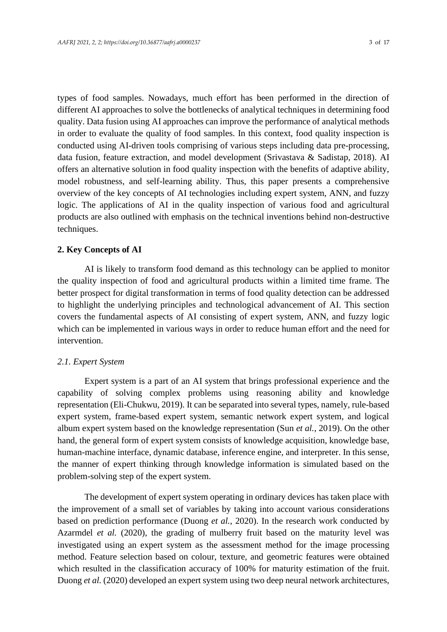types of food samples. Nowadays, much effort has been performed in the direction of different AI approaches to solve the bottlenecks of analytical techniques in determining food quality. Data fusion using AI approaches can improve the performance of analytical methods in order to evaluate the quality of food samples. In this context, food quality inspection is conducted using AI-driven tools comprising of various steps including data pre-processing, data fusion, feature extraction, and model development (Srivastava & Sadistap, 2018). AI offers an alternative solution in food quality inspection with the benefits of adaptive ability, model robustness, and self-learning ability. Thus, this paper presents a comprehensive overview of the key concepts of AI technologies including expert system, ANN, and fuzzy logic. The applications of AI in the quality inspection of various food and agricultural products are also outlined with emphasis on the technical inventions behind non-destructive techniques.

## **2. Key Concepts of AI**

AI is likely to transform food demand as this technology can be applied to monitor the quality inspection of food and agricultural products within a limited time frame. The better prospect for digital transformation in terms of food quality detection can be addressed to highlight the underlying principles and technological advancement of AI. This section covers the fundamental aspects of AI consisting of expert system, ANN, and fuzzy logic which can be implemented in various ways in order to reduce human effort and the need for intervention.

### *2.1. Expert System*

Expert system is a part of an AI system that brings professional experience and the capability of solving complex problems using reasoning ability and knowledge representation (Eli-Chukwu, 2019). It can be separated into several types, namely, rule-based expert system, frame-based expert system, semantic network expert system, and logical album expert system based on the knowledge representation (Sun *et al.*, 2019). On the other hand, the general form of expert system consists of knowledge acquisition, knowledge base, human-machine interface, dynamic database, inference engine, and interpreter. In this sense, the manner of expert thinking through knowledge information is simulated based on the problem-solving step of the expert system.

The development of expert system operating in ordinary devices has taken place with the improvement of a small set of variables by taking into account various considerations based on prediction performance (Duong *et al.*, 2020). In the research work conducted by Azarmdel *et al.* (2020), the grading of mulberry fruit based on the maturity level was investigated using an expert system as the assessment method for the image processing method. Feature selection based on colour, texture, and geometric features were obtained which resulted in the classification accuracy of 100% for maturity estimation of the fruit. Duong *et al.* (2020) developed an expert system using two deep neural network architectures,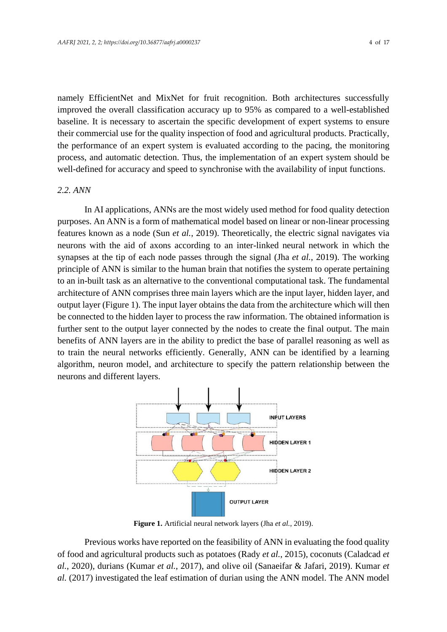namely EfficientNet and MixNet for fruit recognition. Both architectures successfully improved the overall classification accuracy up to 95% as compared to a well-established baseline. It is necessary to ascertain the specific development of expert systems to ensure their commercial use for the quality inspection of food and agricultural products. Practically, the performance of an expert system is evaluated according to the pacing, the monitoring process, and automatic detection. Thus, the implementation of an expert system should be well-defined for accuracy and speed to synchronise with the availability of input functions.

#### *2.2. ANN*

In AI applications, ANNs are the most widely used method for food quality detection purposes. An ANN is a form of mathematical model based on linear or non-linear processing features known as a node (Sun *et al.*, 2019). Theoretically, the electric signal navigates via neurons with the aid of axons according to an inter-linked neural network in which the synapses at the tip of each node passes through the signal (Jha *et al.*, 2019). The working principle of ANN is similar to the human brain that notifies the system to operate pertaining to an in-built task as an alternative to the conventional computational task. The fundamental architecture of ANN comprises three main layers which are the input layer, hidden layer, and output layer (Figure 1). The input layer obtains the data from the architecture which will then be connected to the hidden layer to process the raw information. The obtained information is further sent to the output layer connected by the nodes to create the final output. The main benefits of ANN layers are in the ability to predict the base of parallel reasoning as well as to train the neural networks efficiently. Generally, ANN can be identified by a learning algorithm, neuron model, and architecture to specify the pattern relationship between the neurons and different layers.



**Figure 1.** Artificial neural network layers (Jha *et al.*, 2019).

Previous works have reported on the feasibility of ANN in evaluating the food quality of food and agricultural products such as potatoes (Rady *et al.*, 2015), coconuts (Caladcad *et al.*, 2020), durians (Kumar *et al.*, 2017), and olive oil (Sanaeifar & Jafari, 2019). Kumar *et al.* (2017) investigated the leaf estimation of durian using the ANN model. The ANN model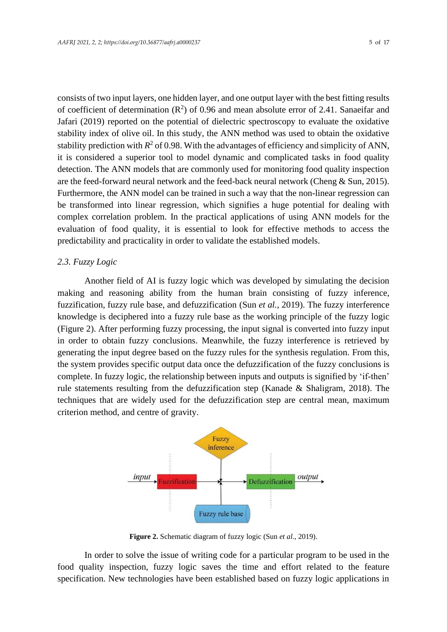consists of two input layers, one hidden layer, and one output layer with the best fitting results of coefficient of determination  $(R^2)$  of 0.96 and mean absolute error of 2.41. Sanaeifar and Jafari (2019) reported on the potential of dielectric spectroscopy to evaluate the oxidative stability index of olive oil. In this study, the ANN method was used to obtain the oxidative stability prediction with  $R^2$  of 0.98. With the advantages of efficiency and simplicity of ANN, it is considered a superior tool to model dynamic and complicated tasks in food quality detection. The ANN models that are commonly used for monitoring food quality inspection are the feed-forward neural network and the feed-back neural network (Cheng & Sun, 2015). Furthermore, the ANN model can be trained in such a way that the non-linear regression can be transformed into linear regression, which signifies a huge potential for dealing with complex correlation problem. In the practical applications of using ANN models for the evaluation of food quality, it is essential to look for effective methods to access the predictability and practicality in order to validate the established models.

## *2.3. Fuzzy Logic*

Another field of AI is fuzzy logic which was developed by simulating the decision making and reasoning ability from the human brain consisting of fuzzy inference, fuzzification, fuzzy rule base, and defuzzification (Sun *et al.*, 2019). The fuzzy interference knowledge is deciphered into a fuzzy rule base as the working principle of the fuzzy logic (Figure 2). After performing fuzzy processing, the input signal is converted into fuzzy input in order to obtain fuzzy conclusions. Meanwhile, the fuzzy interference is retrieved by generating the input degree based on the fuzzy rules for the synthesis regulation. From this, the system provides specific output data once the defuzzification of the fuzzy conclusions is complete. In fuzzy logic, the relationship between inputs and outputs is signified by 'if-then' rule statements resulting from the defuzzification step (Kanade & Shaligram, 2018). The techniques that are widely used for the defuzzification step are central mean, maximum criterion method, and centre of gravity.



**Figure 2.** Schematic diagram of fuzzy logic (Sun *et al.*, 2019).

In order to solve the issue of writing code for a particular program to be used in the food quality inspection, fuzzy logic saves the time and effort related to the feature specification. New technologies have been established based on fuzzy logic applications in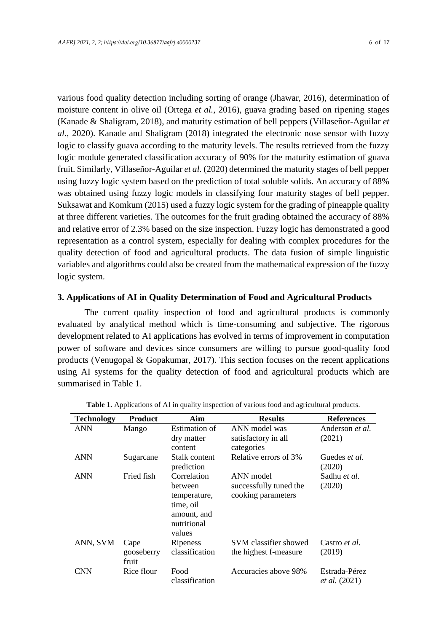various food quality detection including sorting of orange (Jhawar, 2016), determination of moisture content in olive oil (Ortega *et al.*, 2016), guava grading based on ripening stages (Kanade & Shaligram, 2018), and maturity estimation of bell peppers (Villaseñor-Aguilar *et al.*, 2020). Kanade and Shaligram (2018) integrated the electronic nose sensor with fuzzy logic to classify guava according to the maturity levels. The results retrieved from the fuzzy logic module generated classification accuracy of 90% for the maturity estimation of guava fruit. Similarly, Villaseñor-Aguilar *et al.* (2020) determined the maturity stages of bell pepper using fuzzy logic system based on the prediction of total soluble solids. An accuracy of 88% was obtained using fuzzy logic models in classifying four maturity stages of bell pepper. Suksawat and Komkum (2015) used a fuzzy logic system for the grading of pineapple quality at three different varieties. The outcomes for the fruit grading obtained the accuracy of 88% and relative error of 2.3% based on the size inspection. Fuzzy logic has demonstrated a good representation as a control system, especially for dealing with complex procedures for the quality detection of food and agricultural products. The data fusion of simple linguistic variables and algorithms could also be created from the mathematical expression of the fuzzy logic system.

### **3. Applications of AI in Quality Determination of Food and Agricultural Products**

The current quality inspection of food and agricultural products is commonly evaluated by analytical method which is time-consuming and subjective. The rigorous development related to AI applications has evolved in terms of improvement in computation power of software and devices since consumers are willing to pursue good-quality food products (Venugopal & Gopakumar, 2017). This section focuses on the recent applications using AI systems for the quality detection of food and agricultural products which are summarised in Table 1.

| <b>Technology</b> | Product                     | Aim                                                                                         | <b>Results</b>                                            | <b>References</b>                     |
|-------------------|-----------------------------|---------------------------------------------------------------------------------------------|-----------------------------------------------------------|---------------------------------------|
| <b>ANN</b>        | Mango                       | <b>Estimation of</b><br>dry matter<br>content                                               | ANN model was<br>satisfactory in all<br>categories        | Anderson <i>et al.</i><br>(2021)      |
| <b>ANN</b>        | Sugarcane                   | Stalk content<br>prediction                                                                 | Relative errors of 3%                                     | Guedes et al.<br>(2020)               |
| <b>ANN</b>        | Fried fish                  | Correlation<br>between<br>temperature,<br>time, oil<br>amount, and<br>nutritional<br>values | ANN model<br>successfully tuned the<br>cooking parameters | Sadhu et al.<br>(2020)                |
| ANN, SVM          | Cape<br>gooseberry<br>fruit | Ripeness<br>classification                                                                  | SVM classifier showed<br>the highest f-measure            | Castro <i>et al.</i><br>(2019)        |
| <b>CNN</b>        | Rice flour                  | Food<br>classification                                                                      | Accuracies above 98%                                      | Estrada-Pérez<br><i>et al.</i> (2021) |

**Table 1.** Applications of AI in quality inspection of various food and agricultural products.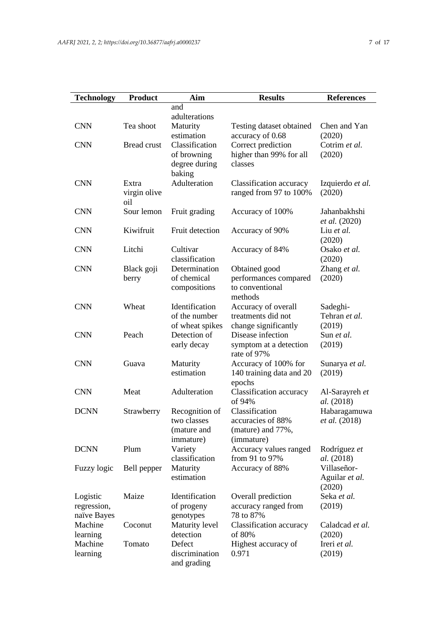| <b>Technology</b>   | <b>Product</b>     | Aim                    | <b>Results</b>                     | <b>References</b>        |
|---------------------|--------------------|------------------------|------------------------------------|--------------------------|
|                     |                    | and                    |                                    |                          |
|                     |                    | adulterations          |                                    |                          |
| <b>CNN</b>          | Tea shoot          | Maturity               | Testing dataset obtained           | Chen and Yan             |
|                     |                    | estimation             | accuracy of 0.68                   | (2020)                   |
| <b>CNN</b>          | <b>Bread crust</b> | Classification         | Correct prediction                 | Cotrim et al.            |
|                     |                    | of browning            | higher than 99% for all            | (2020)                   |
|                     |                    | degree during          | classes                            |                          |
|                     |                    | baking                 |                                    |                          |
| <b>CNN</b>          | Extra              | Adulteration           | Classification accuracy            | Izquierdo et al.         |
|                     | virgin olive       |                        | ranged from 97 to 100%             | (2020)                   |
| <b>CNN</b>          | oil<br>Sour lemon  |                        |                                    | Jahanbakhshi             |
|                     |                    | Fruit grading          | Accuracy of 100%                   | <i>et al.</i> (2020)     |
| <b>CNN</b>          | Kiwifruit          | Fruit detection        | Accuracy of 90%                    | Liu et al.               |
|                     |                    |                        |                                    | (2020)                   |
| <b>CNN</b>          | Litchi             | Cultivar               | Accuracy of 84%                    | Osako et al.             |
|                     |                    | classification         |                                    | (2020)                   |
| <b>CNN</b>          | Black goji         | Determination          | Obtained good                      | Zhang et al.             |
|                     | berry              | of chemical            | performances compared              | (2020)                   |
|                     |                    | compositions           | to conventional                    |                          |
|                     |                    |                        | methods                            |                          |
| <b>CNN</b>          | Wheat              | Identification         | Accuracy of overall                | Sadeghi-                 |
|                     |                    | of the number          | treatments did not                 | Tehran et al.            |
|                     |                    | of wheat spikes        | change significantly               | (2019)                   |
| <b>CNN</b>          | Peach              | Detection of           | Disease infection                  | Sun et al.               |
|                     |                    | early decay            | symptom at a detection             | (2019)                   |
|                     |                    |                        | rate of 97%                        |                          |
| <b>CNN</b>          | Guava              | Maturity<br>estimation | Accuracy of 100% for               | Sunarya et al.<br>(2019) |
|                     |                    |                        | 140 training data and 20<br>epochs |                          |
| <b>CNN</b>          | Meat               | Adulteration           | Classification accuracy            | Al-Sarayreh et           |
|                     |                    |                        | of 94%                             | <i>al.</i> (2018)        |
| <b>DCNN</b>         | Strawberry         | Recognition of         | Classification                     | Habaragamuwa             |
|                     |                    | two classes            | accuracies of 88%                  | et al. (2018)            |
|                     |                    | (mature and            | (mature) and 77%,                  |                          |
|                     |                    | immature)              | (immature)                         |                          |
| <b>DCNN</b>         | Plum               | Variety                | Accuracy values ranged             | Rodríguez et             |
|                     |                    | classification         | from 91 to 97%                     | al. (2018)               |
| Fuzzy logic         | Bell pepper        | Maturity               | Accuracy of 88%                    | Villaseñor-              |
|                     |                    | estimation             |                                    | Aguilar et al.           |
|                     |                    |                        |                                    | (2020)                   |
| Logistic            | Maize              | Identification         | Overall prediction                 | Seka et al.              |
| regression,         |                    | of progeny             | accuracy ranged from               | (2019)                   |
| naïve Bayes         |                    | genotypes              | 78 to 87%                          |                          |
| Machine             | Coconut            | Maturity level         | Classification accuracy            | Caladcad et al.          |
| learning            |                    | detection<br>Defect    | of 80%                             | (2020)                   |
| Machine<br>learning | Tomato             | discrimination         | Highest accuracy of<br>0.971       | Ireri et al.<br>(2019)   |
|                     |                    | and grading            |                                    |                          |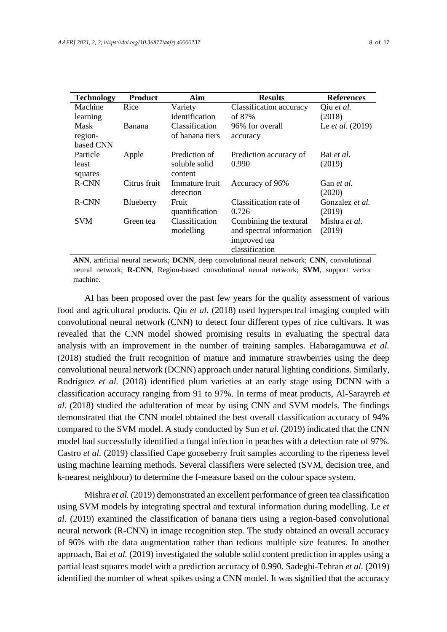| ٧ | ۰, |  |
|---|----|--|
| × |    |  |
|   |    |  |

| <b>Technology</b> | <b>Product</b> | Aim             | <b>Results</b>           | <b>References</b>       |
|-------------------|----------------|-----------------|--------------------------|-------------------------|
| Machine           | Rice           | Variety         | Classification accuracy  | Qiu et al.              |
| learning          |                | identification  | of 87%                   | (2018)                  |
| Mask              | Banana         | Classification  | 96% for overall          | Le <i>et al.</i> (2019) |
| region-           |                | of banana tiers | accuracy                 |                         |
| based CNN         |                |                 |                          |                         |
| Particle          | Apple          | Prediction of   | Prediction accuracy of   | Bai et al.              |
| least             |                | soluble solid   | 0.990                    | (2019)                  |
| squares           |                | content         |                          |                         |
| <b>R-CNN</b>      | Citrus fruit   | Immature fruit  | Accuracy of 96%          | Gan <i>et al.</i>       |
|                   |                | detection       |                          | (2020)                  |
| <b>R-CNN</b>      | Blueberry      | Fruit           | Classification rate of   | Gonzalez et al.         |
|                   |                | quantification  | 0.726                    | (2019)                  |
| <b>SVM</b>        | Green tea      | Classification  | Combining the textural   | Mishra et al.           |
|                   |                | modelling       | and spectral information | (2019)                  |
|                   |                |                 | improved tea             |                         |
|                   |                |                 | classification           |                         |

**ANN**, artificial neural network; **DCNN**, deep convolutional neural network; **CNN**, convolutional neural network; **R-CNN**, Region-based convolutional neural network; **SVM**, support vector machine.

AI has been proposed over the past few years for the quality assessment of various food and agricultural products. Qiu *et al.* (2018) used hyperspectral imaging coupled with convolutional neural network (CNN) to detect four different types of rice cultivars. It was revealed that the CNN model showed promising results in evaluating the spectral data analysis with an improvement in the number of training samples. Habaragamuwa *et al.* (2018) studied the fruit recognition of mature and immature strawberries using the deep convolutional neural network (DCNN) approach under natural lighting conditions. Similarly, Rodríguez *et al.* (2018) identified plum varieties at an early stage using DCNN with a classification accuracy ranging from 91 to 97%. In terms of meat products, Al-Sarayreh *et al.* (2018) studied the adulteration of meat by using CNN and SVM models. The findings demonstrated that the CNN model obtained the best overall classification accuracy of 94% compared to the SVM model. A study conducted by Sun *et al.* (2019) indicated that the CNN model had successfully identified a fungal infection in peaches with a detection rate of 97%. Castro *et al.* (2019) classified Cape gooseberry fruit samples according to the ripeness level using machine learning methods. Several classifiers were selected (SVM, decision tree, and k-nearest neighbour) to determine the f-measure based on the colour space system.

Mishra *et al.* (2019) demonstrated an excellent performance of green tea classification using SVM models by integrating spectral and textural information during modelling. Le *et al.* (2019) examined the classification of banana tiers using a region-based convolutional neural network (R-CNN) in image recognition step. The study obtained an overall accuracy of 96% with the data augmentation rather than tedious multiple size features. In another approach, Bai *et al.* (2019) investigated the soluble solid content prediction in apples using a partial least squares model with a prediction accuracy of 0.990. Sadeghi-Tehran *et al.* (2019) identified the number of wheat spikes using a CNN model. It was signified that the accuracy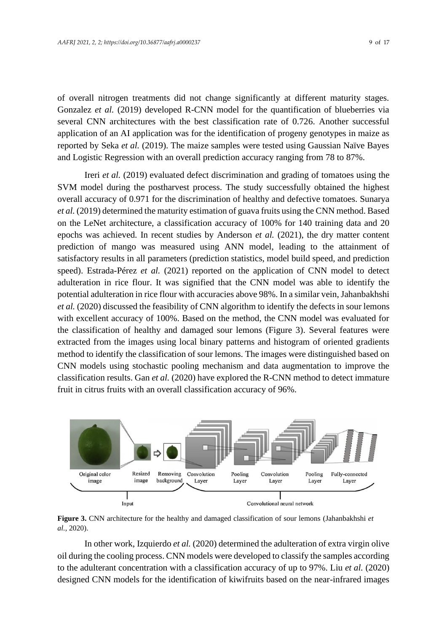of overall nitrogen treatments did not change significantly at different maturity stages. Gonzalez *et al.* (2019) developed R-CNN model for the quantification of blueberries via several CNN architectures with the best classification rate of 0.726. Another successful application of an AI application was for the identification of progeny genotypes in maize as reported by Seka *et al.* (2019). The maize samples were tested using Gaussian Naïve Bayes and Logistic Regression with an overall prediction accuracy ranging from 78 to 87%.

Ireri *et al.* (2019) evaluated defect discrimination and grading of tomatoes using the SVM model during the postharvest process. The study successfully obtained the highest overall accuracy of 0.971 for the discrimination of healthy and defective tomatoes. Sunarya *et al.* (2019) determined the maturity estimation of guava fruits using the CNN method. Based on the LeNet architecture, a classification accuracy of 100% for 140 training data and 20 epochs was achieved. In recent studies by Anderson *et al.* (2021), the dry matter content prediction of mango was measured using ANN model, leading to the attainment of satisfactory results in all parameters (prediction statistics, model build speed, and prediction speed). Estrada-Pérez *et al.* (2021) reported on the application of CNN model to detect adulteration in rice flour. It was signified that the CNN model was able to identify the potential adulteration in rice flour with accuracies above 98%. In a similar vein, Jahanbakhshi *et al.* (2020) discussed the feasibility of CNN algorithm to identify the defects in sour lemons with excellent accuracy of 100%. Based on the method, the CNN model was evaluated for the classification of healthy and damaged sour lemons (Figure 3). Several features were extracted from the images using local binary patterns and histogram of oriented gradients method to identify the classification of sour lemons. The images were distinguished based on CNN models using stochastic pooling mechanism and data augmentation to improve the classification results. Gan *et al.* (2020) have explored the R-CNN method to detect immature fruit in citrus fruits with an overall classification accuracy of 96%.



**Figure 3.** CNN architecture for the healthy and damaged classification of sour lemons (Jahanbakhshi *et al.*, 2020).

In other work, Izquierdo *et al.* (2020) determined the adulteration of extra virgin olive oil during the cooling process. CNN models were developed to classify the samples according to the adulterant concentration with a classification accuracy of up to 97%. Liu *et al.* (2020) designed CNN models for the identification of kiwifruits based on the near-infrared images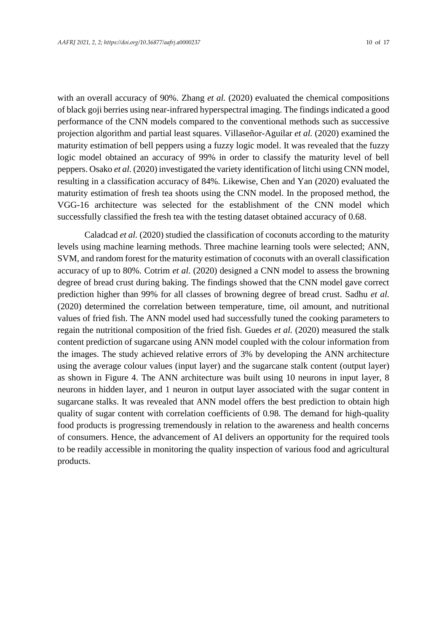with an overall accuracy of 90%. Zhang *et al.* (2020) evaluated the chemical compositions of black goji berries using near-infrared hyperspectral imaging. The findings indicated a good performance of the CNN models compared to the conventional methods such as successive projection algorithm and partial least squares. Villaseñor-Aguilar *et al.* (2020) examined the maturity estimation of bell peppers using a fuzzy logic model. It was revealed that the fuzzy logic model obtained an accuracy of 99% in order to classify the maturity level of bell peppers. Osako *et al.* (2020) investigated the variety identification of litchi using CNN model, resulting in a classification accuracy of 84%. Likewise, Chen and Yan (2020) evaluated the maturity estimation of fresh tea shoots using the CNN model. In the proposed method, the VGG-16 architecture was selected for the establishment of the CNN model which successfully classified the fresh tea with the testing dataset obtained accuracy of 0.68.

Caladcad *et al.* (2020) studied the classification of coconuts according to the maturity levels using machine learning methods. Three machine learning tools were selected; ANN, SVM, and random forest for the maturity estimation of coconuts with an overall classification accuracy of up to 80%. Cotrim *et al.* (2020) designed a CNN model to assess the browning degree of bread crust during baking. The findings showed that the CNN model gave correct prediction higher than 99% for all classes of browning degree of bread crust. Sadhu *et al.* (2020) determined the correlation between temperature, time, oil amount, and nutritional values of fried fish. The ANN model used had successfully tuned the cooking parameters to regain the nutritional composition of the fried fish. Guedes *et al.* (2020) measured the stalk content prediction of sugarcane using ANN model coupled with the colour information from the images. The study achieved relative errors of 3% by developing the ANN architecture using the average colour values (input layer) and the sugarcane stalk content (output layer) as shown in Figure 4. The ANN architecture was built using 10 neurons in input layer, 8 neurons in hidden layer, and 1 neuron in output layer associated with the sugar content in sugarcane stalks. It was revealed that ANN model offers the best prediction to obtain high quality of sugar content with correlation coefficients of 0.98. The demand for high-quality food products is progressing tremendously in relation to the awareness and health concerns of consumers. Hence, the advancement of AI delivers an opportunity for the required tools to be readily accessible in monitoring the quality inspection of various food and agricultural products.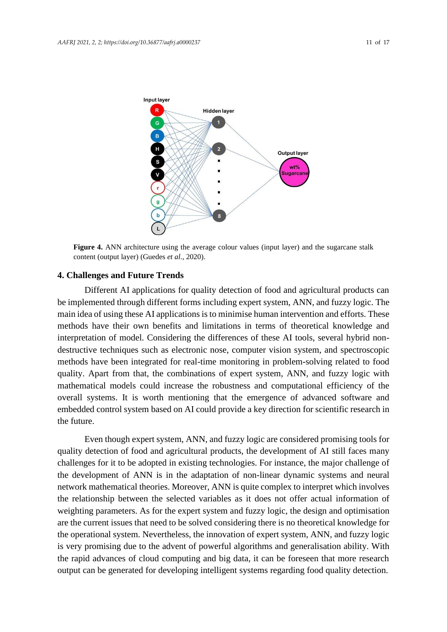

**Figure 4.** ANN architecture using the average colour values (input layer) and the sugarcane stalk content (output layer) (Guedes *et al.*, 2020).

### **4. Challenges and Future Trends**

Different AI applications for quality detection of food and agricultural products can be implemented through different forms including expert system, ANN, and fuzzy logic. The main idea of using these AI applications is to minimise human intervention and efforts. These methods have their own benefits and limitations in terms of theoretical knowledge and interpretation of model. Considering the differences of these AI tools, several hybrid nondestructive techniques such as electronic nose, computer vision system, and spectroscopic methods have been integrated for real-time monitoring in problem-solving related to food quality. Apart from that, the combinations of expert system, ANN, and fuzzy logic with mathematical models could increase the robustness and computational efficiency of the overall systems. It is worth mentioning that the emergence of advanced software and embedded control system based on AI could provide a key direction for scientific research in the future.

Even though expert system, ANN, and fuzzy logic are considered promising tools for quality detection of food and agricultural products, the development of AI still faces many challenges for it to be adopted in existing technologies. For instance, the major challenge of the development of ANN is in the adaptation of non-linear dynamic systems and neural network mathematical theories. Moreover, ANN is quite complex to interpret which involves the relationship between the selected variables as it does not offer actual information of weighting parameters. As for the expert system and fuzzy logic, the design and optimisation are the current issues that need to be solved considering there is no theoretical knowledge for the operational system. Nevertheless, the innovation of expert system, ANN, and fuzzy logic is very promising due to the advent of powerful algorithms and generalisation ability. With the rapid advances of cloud computing and big data, it can be foreseen that more research output can be generated for developing intelligent systems regarding food quality detection.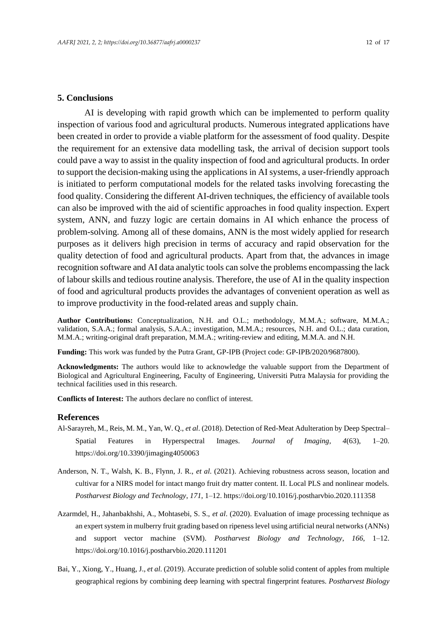### **5. Conclusions**

AI is developing with rapid growth which can be implemented to perform quality inspection of various food and agricultural products. Numerous integrated applications have been created in order to provide a viable platform for the assessment of food quality. Despite the requirement for an extensive data modelling task, the arrival of decision support tools could pave a way to assist in the quality inspection of food and agricultural products. In order to support the decision-making using the applications in AIsystems, a user-friendly approach is initiated to perform computational models for the related tasks involving forecasting the food quality. Considering the different AI-driven techniques, the efficiency of available tools can also be improved with the aid of scientific approaches in food quality inspection. Expert system, ANN, and fuzzy logic are certain domains in AI which enhance the process of problem-solving. Among all of these domains, ANN is the most widely applied for research purposes as it delivers high precision in terms of accuracy and rapid observation for the quality detection of food and agricultural products. Apart from that, the advances in image recognition software and AI data analytic tools can solve the problems encompassing the lack of labour skills and tedious routine analysis. Therefore, the use of AI in the quality inspection of food and agricultural products provides the advantages of convenient operation as well as to improve productivity in the food-related areas and supply chain.

**Author Contributions:** Conceptualization, N.H. and O.L.; methodology, M.M.A.; software, M.M.A.; validation, S.A.A.; formal analysis, S.A.A.; investigation, M.M.A.; resources, N.H. and O.L.; data curation, M.M.A.; writing-original draft preparation, M.M.A.; writing-review and editing, M.M.A. and N.H.

**Funding:** This work was funded by the Putra Grant, GP-IPB (Project code: GP-IPB/2020/9687800).

**Acknowledgments:** The authors would like to acknowledge the valuable support from the Department of Biological and Agricultural Engineering, Faculty of Engineering, Universiti Putra Malaysia for providing the technical facilities used in this research.

**Conflicts of Interest:** The authors declare no conflict of interest.

#### **References**

- Al-Sarayreh, M., Reis, M. M., Yan, W. Q., *et al*. (2018). Detection of Red-Meat Adulteration by Deep Spectral– Spatial Features in Hyperspectral Images. *Journal of Imaging*, *4*(63), 1–20. https://doi.org/10.3390/jimaging4050063
- Anderson, N. T., Walsh, K. B., Flynn, J. R., *et al*. (2021). Achieving robustness across season, location and cultivar for a NIRS model for intact mango fruit dry matter content. II. Local PLS and nonlinear models. *Postharvest Biology and Technology*, *171*, 1–12. https://doi.org/10.1016/j.postharvbio.2020.111358
- Azarmdel, H., Jahanbakhshi, A., Mohtasebi, S. S., *et al*. (2020). Evaluation of image processing technique as an expert system in mulberry fruit grading based on ripeness level using artificial neural networks (ANNs) and support vector machine (SVM). *Postharvest Biology and Technology*, *166*, 1–12. https://doi.org/10.1016/j.postharvbio.2020.111201
- Bai, Y., Xiong, Y., Huang, J., *et al*. (2019). Accurate prediction of soluble solid content of apples from multiple geographical regions by combining deep learning with spectral fingerprint features. *Postharvest Biology*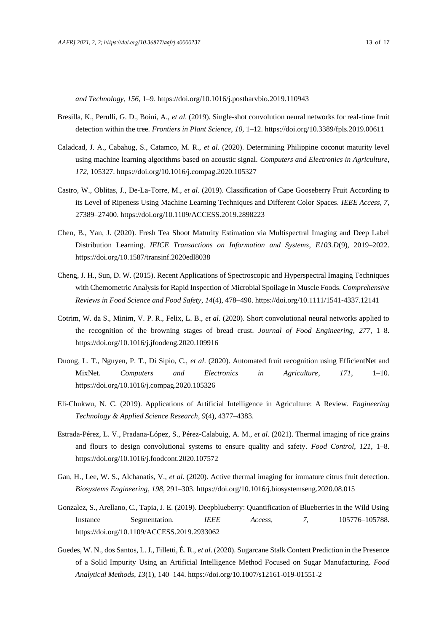*and Technology*, *156*, 1–9. https://doi.org/10.1016/j.postharvbio.2019.110943

- Bresilla, K., Perulli, G. D., Boini, A., *et al*. (2019). Single-shot convolution neural networks for real-time fruit detection within the tree. *Frontiers in Plant Science*, *10*, 1–12. https://doi.org/10.3389/fpls.2019.00611
- Caladcad, J. A., Cabahug, S., Catamco, M. R., *et al*. (2020). Determining Philippine coconut maturity level using machine learning algorithms based on acoustic signal. *Computers and Electronics in Agriculture*, *172*, 105327. https://doi.org/10.1016/j.compag.2020.105327
- Castro, W., Oblitas, J., De-La-Torre, M., *et al*. (2019). Classification of Cape Gooseberry Fruit According to its Level of Ripeness Using Machine Learning Techniques and Different Color Spaces. *IEEE Access*, *7*, 27389–27400. https://doi.org/10.1109/ACCESS.2019.2898223
- Chen, B., Yan, J. (2020). Fresh Tea Shoot Maturity Estimation via Multispectral Imaging and Deep Label Distribution Learning. *IEICE Transactions on Information and Systems*, *E103.D*(9), 2019–2022. https://doi.org/10.1587/transinf.2020edl8038
- Cheng, J. H., Sun, D. W. (2015). Recent Applications of Spectroscopic and Hyperspectral Imaging Techniques with Chemometric Analysis for Rapid Inspection of Microbial Spoilage in Muscle Foods. *Comprehensive Reviews in Food Science and Food Safety*, *14*(4), 478–490. https://doi.org/10.1111/1541-4337.12141
- Cotrim, W. da S., Minim, V. P. R., Felix, L. B., *et al*. (2020). Short convolutional neural networks applied to the recognition of the browning stages of bread crust. *Journal of Food Engineering*, *277*, 1–8. https://doi.org/10.1016/j.jfoodeng.2020.109916
- Duong, L. T., Nguyen, P. T., Di Sipio, C., *et al*. (2020). Automated fruit recognition using EfficientNet and MixNet. *Computers and Electronics in Agriculture*, *171*, 1–10. https://doi.org/10.1016/j.compag.2020.105326
- Eli-Chukwu, N. C. (2019). Applications of Artificial Intelligence in Agriculture: A Review. *Engineering Technology & Applied Science Research*, *9*(4), 4377–4383.
- Estrada-Pérez, L. V., Pradana-López, S., Pérez-Calabuig, A. M., *et al*. (2021). Thermal imaging of rice grains and flours to design convolutional systems to ensure quality and safety. *Food Control*, *121*, 1–8. https://doi.org/10.1016/j.foodcont.2020.107572
- Gan, H., Lee, W. S., Alchanatis, V., *et al*. (2020). Active thermal imaging for immature citrus fruit detection. *Biosystems Engineering*, *198*, 291–303. https://doi.org/10.1016/j.biosystemseng.2020.08.015
- Gonzalez, S., Arellano, C., Tapia, J. E. (2019). Deepblueberry: Quantification of Blueberries in the Wild Using Instance Segmentation. *IEEE Access*, *7*, 105776–105788. https://doi.org/10.1109/ACCESS.2019.2933062
- Guedes, W. N., dos Santos, L. J., Filletti, É. R., *et al*. (2020). Sugarcane Stalk Content Prediction in the Presence of a Solid Impurity Using an Artificial Intelligence Method Focused on Sugar Manufacturing. *Food Analytical Methods*, *13*(1), 140–144. https://doi.org/10.1007/s12161-019-01551-2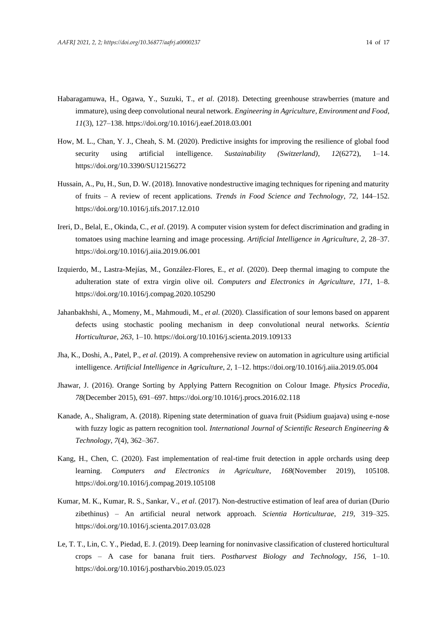- Habaragamuwa, H., Ogawa, Y., Suzuki, T., *et al*. (2018). Detecting greenhouse strawberries (mature and immature), using deep convolutional neural network. *Engineering in Agriculture, Environment and Food*, *11*(3), 127–138. https://doi.org/10.1016/j.eaef.2018.03.001
- How, M. L., Chan, Y. J., Cheah, S. M. (2020). Predictive insights for improving the resilience of global food security using artificial intelligence. *Sustainability (Switzerland)*, *12*(6272), 1–14. https://doi.org/10.3390/SU12156272
- Hussain, A., Pu, H., Sun, D. W. (2018). Innovative nondestructive imaging techniques for ripening and maturity of fruits – A review of recent applications. *Trends in Food Science and Technology*, *72*, 144–152. https://doi.org/10.1016/j.tifs.2017.12.010
- Ireri, D., Belal, E., Okinda, C., *et al*. (2019). A computer vision system for defect discrimination and grading in tomatoes using machine learning and image processing. *Artificial Intelligence in Agriculture*, *2*, 28–37. https://doi.org/10.1016/j.aiia.2019.06.001
- Izquierdo, M., Lastra-Mejías, M., González-Flores, E., *et al*. (2020). Deep thermal imaging to compute the adulteration state of extra virgin olive oil. *Computers and Electronics in Agriculture*, *171*, 1–8. https://doi.org/10.1016/j.compag.2020.105290
- Jahanbakhshi, A., Momeny, M., Mahmoudi, M., *et al*. (2020). Classification of sour lemons based on apparent defects using stochastic pooling mechanism in deep convolutional neural networks. *Scientia Horticulturae*, *263*, 1–10. https://doi.org/10.1016/j.scienta.2019.109133
- Jha, K., Doshi, A., Patel, P., *et al*. (2019). A comprehensive review on automation in agriculture using artificial intelligence. *Artificial Intelligence in Agriculture*, *2*, 1–12. https://doi.org/10.1016/j.aiia.2019.05.004
- Jhawar, J. (2016). Orange Sorting by Applying Pattern Recognition on Colour Image. *Physics Procedia*, *78*(December 2015), 691–697. https://doi.org/10.1016/j.procs.2016.02.118
- Kanade, A., Shaligram, A. (2018). Ripening state determination of guava fruit (Psidium guajava) using e-nose with fuzzy logic as pattern recognition tool. *International Journal of Scientific Research Engineering & Technology*, *7*(4), 362–367.
- Kang, H., Chen, C. (2020). Fast implementation of real-time fruit detection in apple orchards using deep learning. *Computers and Electronics in Agriculture*, *168*(November 2019), 105108. https://doi.org/10.1016/j.compag.2019.105108
- Kumar, M. K., Kumar, R. S., Sankar, V., *et al*. (2017). Non-destructive estimation of leaf area of durian (Durio zibethinus) – An artificial neural network approach. *Scientia Horticulturae*, *219*, 319–325. https://doi.org/10.1016/j.scienta.2017.03.028
- Le, T. T., Lin, C. Y., Piedad, E. J. (2019). Deep learning for noninvasive classification of clustered horticultural crops – A case for banana fruit tiers. *Postharvest Biology and Technology*, *156*, 1–10. https://doi.org/10.1016/j.postharvbio.2019.05.023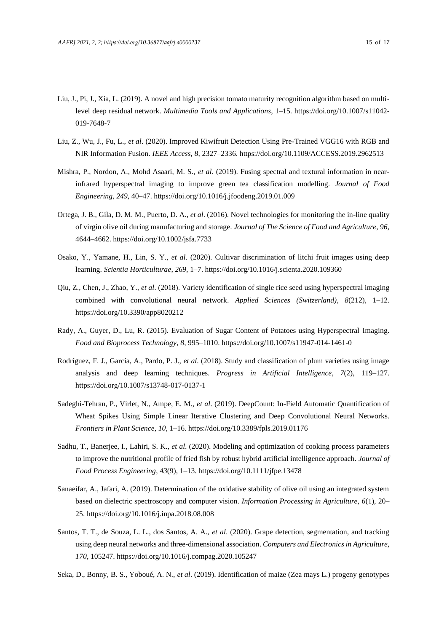- Liu, J., Pi, J., Xia, L. (2019). A novel and high precision tomato maturity recognition algorithm based on multilevel deep residual network. *Multimedia Tools and Applications*, 1–15. https://doi.org/10.1007/s11042- 019-7648-7
- Liu, Z., Wu, J., Fu, L., *et al*. (2020). Improved Kiwifruit Detection Using Pre-Trained VGG16 with RGB and NIR Information Fusion. *IEEE Access*, *8*, 2327–2336. https://doi.org/10.1109/ACCESS.2019.2962513
- Mishra, P., Nordon, A., Mohd Asaari, M. S., *et al*. (2019). Fusing spectral and textural information in nearinfrared hyperspectral imaging to improve green tea classification modelling. *Journal of Food Engineering*, *249*, 40–47. https://doi.org/10.1016/j.jfoodeng.2019.01.009
- Ortega, J. B., Gila, D. M. M., Puerto, D. A., *et al*. (2016). Novel technologies for monitoring the in-line quality of virgin olive oil during manufacturing and storage. *Journal of The Science of Food and Agriculture*, *96*, 4644–4662. https://doi.org/10.1002/jsfa.7733
- Osako, Y., Yamane, H., Lin, S. Y., *et al*. (2020). Cultivar discrimination of litchi fruit images using deep learning. *Scientia Horticulturae*, *269*, 1–7. https://doi.org/10.1016/j.scienta.2020.109360
- Qiu, Z., Chen, J., Zhao, Y., *et al*. (2018). Variety identification of single rice seed using hyperspectral imaging combined with convolutional neural network. *Applied Sciences (Switzerland)*, *8*(212), 1–12. https://doi.org/10.3390/app8020212
- Rady, A., Guyer, D., Lu, R. (2015). Evaluation of Sugar Content of Potatoes using Hyperspectral Imaging. *Food and Bioprocess Technology*, *8*, 995–1010. https://doi.org/10.1007/s11947-014-1461-0
- Rodríguez, F. J., García, A., Pardo, P. J., *et al*. (2018). Study and classification of plum varieties using image analysis and deep learning techniques. *Progress in Artificial Intelligence*, *7*(2), 119–127. https://doi.org/10.1007/s13748-017-0137-1
- Sadeghi-Tehran, P., Virlet, N., Ampe, E. M., *et al*. (2019). DeepCount: In-Field Automatic Quantification of Wheat Spikes Using Simple Linear Iterative Clustering and Deep Convolutional Neural Networks. *Frontiers in Plant Science*, *10*, 1–16. https://doi.org/10.3389/fpls.2019.01176
- Sadhu, T., Banerjee, I., Lahiri, S. K., *et al*. (2020). Modeling and optimization of cooking process parameters to improve the nutritional profile of fried fish by robust hybrid artificial intelligence approach. *Journal of Food Process Engineering*, *43*(9), 1–13. https://doi.org/10.1111/jfpe.13478
- Sanaeifar, A., Jafari, A. (2019). Determination of the oxidative stability of olive oil using an integrated system based on dielectric spectroscopy and computer vision. *Information Processing in Agriculture*, *6*(1), 20– 25. https://doi.org/10.1016/j.inpa.2018.08.008
- Santos, T. T., de Souza, L. L., dos Santos, A. A., *et al*. (2020). Grape detection, segmentation, and tracking using deep neural networks and three-dimensional association. *Computers and Electronics in Agriculture*, *170*, 105247. https://doi.org/10.1016/j.compag.2020.105247
- Seka, D., Bonny, B. S., Yoboué, A. N., *et al*. (2019). Identification of maize (Zea mays L.) progeny genotypes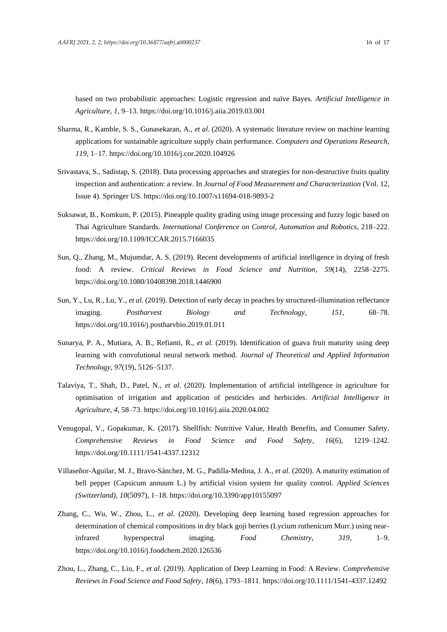based on two probabilistic approaches: Logistic regression and naïve Bayes. *Artificial Intelligence in Agriculture*, *1*, 9–13. https://doi.org/10.1016/j.aiia.2019.03.001

- Sharma, R., Kamble, S. S., Gunasekaran, A., *et al*. (2020). A systematic literature review on machine learning applications for sustainable agriculture supply chain performance. *Computers and Operations Research*, *119*, 1–17. https://doi.org/10.1016/j.cor.2020.104926
- Srivastava, S., Sadistap, S. (2018). Data processing approaches and strategies for non-destructive fruits quality inspection and authentication: a review. In *Journal of Food Measurement and Characterization* (Vol. 12, Issue 4). Springer US. https://doi.org/10.1007/s11694-018-9893-2
- Suksawat, B., Komkum, P. (2015). Pineapple quality grading using image processing and fuzzy logic based on Thai Agriculture Standards. *International Conference on Control, Automation and Robotics*, 218–222. https://doi.org/10.1109/ICCAR.2015.7166035
- Sun, Q., Zhang, M., Mujumdar, A. S. (2019). Recent developments of artificial intelligence in drying of fresh food: A review. *Critical Reviews in Food Science and Nutrition*, *59*(14), 2258–2275. https://doi.org/10.1080/10408398.2018.1446900
- Sun, Y., Lu, R., Lu, Y., *et al*. (2019). Detection of early decay in peaches by structured-illumination reflectance imaging. *Postharvest Biology and Technology*, *151*, 68–78. https://doi.org/10.1016/j.postharvbio.2019.01.011
- Sunarya, P. A., Mutiara, A. B., Refianti, R., *et al*. (2019). Identification of guava fruit maturity using deep learning with convolutional neural network method. *Journal of Theoretical and Applied Information Technology*, *97*(19), 5126–5137.
- Talaviya, T., Shah, D., Patel, N., *et al*. (2020). Implementation of artificial intelligence in agriculture for optimisation of irrigation and application of pesticides and herbicides. *Artificial Intelligence in Agriculture*, *4*, 58–73. https://doi.org/10.1016/j.aiia.2020.04.002
- Venugopal, V., Gopakumar, K. (2017). Shellfish: Nutritive Value, Health Benefits, and Consumer Safety. *Comprehensive Reviews in Food Science and Food Safety*, *16*(6), 1219–1242. https://doi.org/10.1111/1541-4337.12312
- Villaseñor-Aguilar, M. J., Bravo-Sánchez, M. G., Padilla-Medina, J. A., *et al*. (2020). A maturity estimation of bell pepper (Capsicum annuum L.) by artificial vision system for quality control. *Applied Sciences (Switzerland)*, *10*(5097), 1–18. https://doi.org/10.3390/app10155097
- Zhang, C., Wu, W., Zhou, L., *et al*. (2020). Developing deep learning based regression approaches for determination of chemical compositions in dry black goji berries (Lycium ruthenicum Murr.) using nearinfrared hyperspectral imaging. *Food Chemistry*, *319*, 1–9. https://doi.org/10.1016/j.foodchem.2020.126536
- Zhou, L., Zhang, C., Liu, F., *et al*. (2019). Application of Deep Learning in Food: A Review. *Comprehensive Reviews in Food Science and Food Safety*, *18*(6), 1793–1811. https://doi.org/10.1111/1541-4337.12492